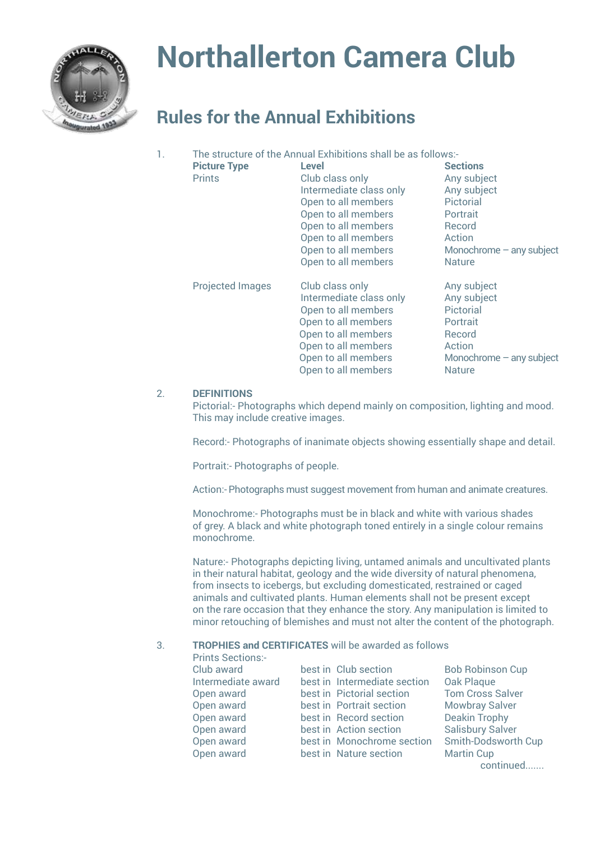

## **Northallerton Camera Club**

## **Rules for the Annual Exhibitions**

| 1. | The structure of the Annual Exhibitions shall be as follows:- |                                                                                                                                                                                               |                                                                                                                                           |  |  |
|----|---------------------------------------------------------------|-----------------------------------------------------------------------------------------------------------------------------------------------------------------------------------------------|-------------------------------------------------------------------------------------------------------------------------------------------|--|--|
|    | <b>Picture Type</b><br><b>Prints</b>                          | Level<br>Club class only<br>Intermediate class only<br>Open to all members<br>Open to all members<br>Open to all members<br>Open to all members<br>Open to all members<br>Open to all members | <b>Sections</b><br>Any subject<br>Any subject<br>Pictorial<br>Portrait<br>Record<br>Action<br>Monochrome $-$ any subject<br><b>Nature</b> |  |  |
|    | <b>Projected Images</b>                                       | Club class only<br>Intermediate class only<br>Open to all members<br>Open to all members<br>Open to all members<br>Open to all members<br>Open to all members<br>Open to all members          | Any subject<br>Any subject<br>Pictorial<br>Portrait<br>Record<br>Action<br>Monochrome $-$ any subject<br><b>Nature</b>                    |  |  |

## 2. **DEFINITIONS**

Pictorial:- Photographs which depend mainly on composition, lighting and mood. This may include creative images.

Record:- Photographs of inanimate objects showing essentially shape and detail.

Portrait:- Photographs of people.

Action:- Photographs must suggest movement from human and animate creatures.

Monochrome:- Photographs must be in black and white with various shades of grey. A black and white photograph toned entirely in a single colour remains monochrome.

Nature:- Photographs depicting living, untamed animals and uncultivated plants in their natural habitat, geology and the wide diversity of natural phenomena, from insects to icebergs, but excluding domesticated, restrained or caged animals and cultivated plants. Human elements shall not be present except on the rare occasion that they enhance the story. Any manipulation is limited to minor retouching of blemishes and must not alter the content of the photograph.

## 3. **TROPHIES and CERTIFICATES** will be awarded as follows

| <b>Prints Sections:-</b> |                              |                         |
|--------------------------|------------------------------|-------------------------|
| Club award               | best in Club section         | <b>Bob Robinson Cup</b> |
| Intermediate award       | best in Intermediate section | Oak Plaque              |
| Open award               | best in Pictorial section    | <b>Tom Cross Salver</b> |
| Open award               | best in Portrait section     | Mowbray Salver          |
| Open award               | best in Record section       | <b>Deakin Trophy</b>    |
| Open award               | best in Action section       | <b>Salisbury Salver</b> |
| Open award               | best in Monochrome section   | Smith-Dodsworth Cup     |
| Open award               | best in Nature section       | <b>Martin Cup</b>       |
|                          |                              | continued               |